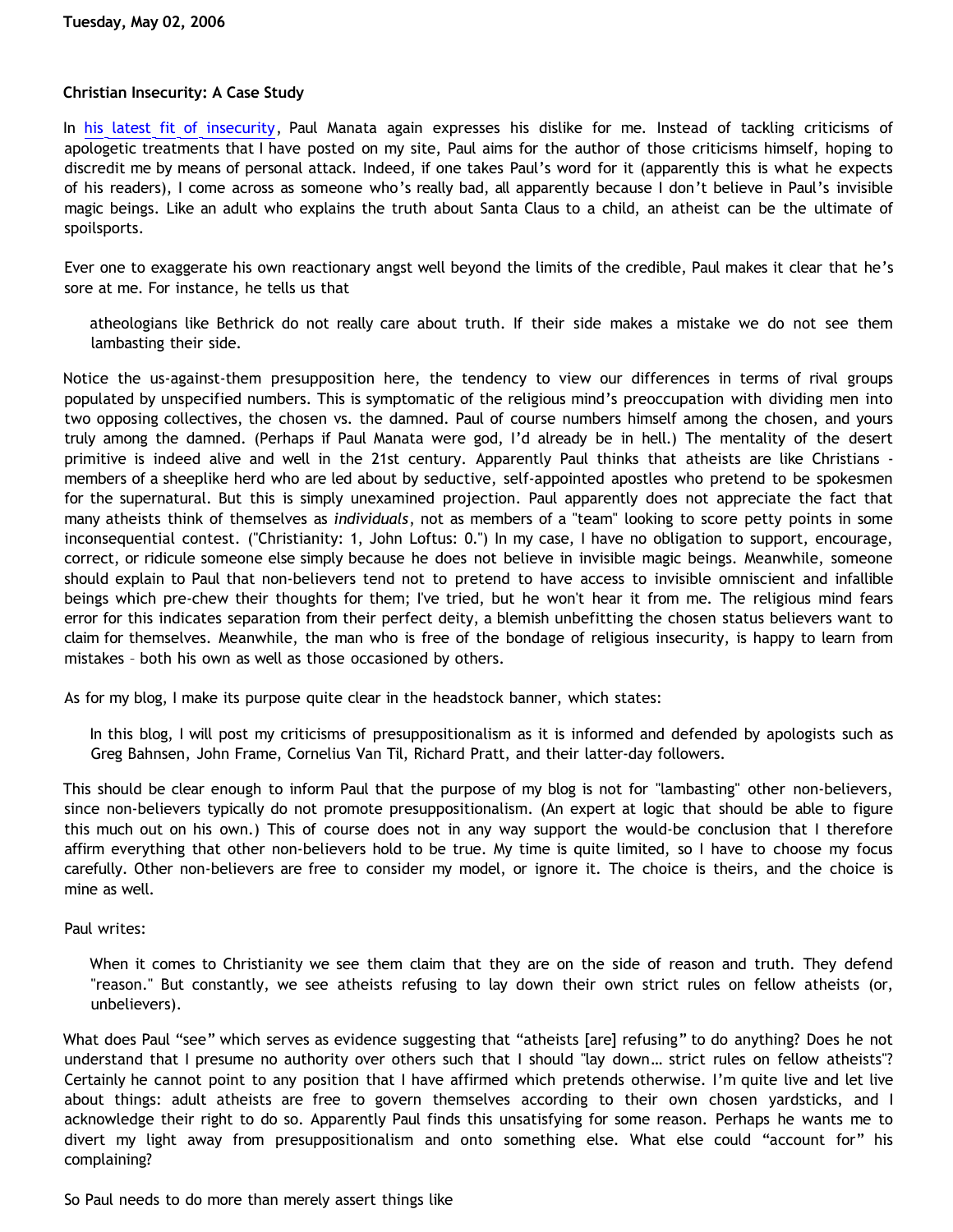## **Christian Insecurity: A Case Study**

In [his latest fit of insecurity,](http://presstheantithesis.blogspot.com/2006/05/hypocrisy-of-unbelief.html) Paul Manata again expresses his dislike for me. Instead of tackling criticisms of apologetic treatments that I have posted on my site, Paul aims for the author of those criticisms himself, hoping to discredit me by means of personal attack. Indeed, if one takes Paul's word for it (apparently this is what he expects of his readers), I come across as someone who's really bad, all apparently because I don't believe in Paul's invisible magic beings. Like an adult who explains the truth about Santa Claus to a child, an atheist can be the ultimate of spoilsports.

Ever one to exaggerate his own reactionary angst well beyond the limits of the credible, Paul makes it clear that he's sore at me. For instance, he tells us that

atheologians like Bethrick do not really care about truth. If their side makes a mistake we do not see them lambasting their side.

Notice the us-against-them presupposition here, the tendency to view our differences in terms of rival groups populated by unspecified numbers. This is symptomatic of the religious mind's preoccupation with dividing men into two opposing collectives, the chosen vs. the damned. Paul of course numbers himself among the chosen, and yours truly among the damned. (Perhaps if Paul Manata were god, I'd already be in hell.) The mentality of the desert primitive is indeed alive and well in the 21st century. Apparently Paul thinks that atheists are like Christians members of a sheeplike herd who are led about by seductive, self-appointed apostles who pretend to be spokesmen for the supernatural. But this is simply unexamined projection. Paul apparently does not appreciate the fact that many atheists think of themselves as *individuals*, not as members of a "team" looking to score petty points in some inconsequential contest. ("Christianity: 1, John Loftus: 0.") In my case, I have no obligation to support, encourage, correct, or ridicule someone else simply because he does not believe in invisible magic beings. Meanwhile, someone should explain to Paul that non-believers tend not to pretend to have access to invisible omniscient and infallible beings which pre-chew their thoughts for them; I've tried, but he won't hear it from me. The religious mind fears error for this indicates separation from their perfect deity, a blemish unbefitting the chosen status believers want to claim for themselves. Meanwhile, the man who is free of the bondage of religious insecurity, is happy to learn from mistakes – both his own as well as those occasioned by others.

As for my blog, I make its purpose quite clear in the headstock banner, which states:

In this blog, I will post my criticisms of presuppositionalism as it is informed and defended by apologists such as Greg Bahnsen, John Frame, Cornelius Van Til, Richard Pratt, and their latter-day followers.

This should be clear enough to inform Paul that the purpose of my blog is not for "lambasting" other non-believers, since non-believers typically do not promote presuppositionalism. (An expert at logic that should be able to figure this much out on his own.) This of course does not in any way support the would-be conclusion that I therefore affirm everything that other non-believers hold to be true. My time is quite limited, so I have to choose my focus carefully. Other non-believers are free to consider my model, or ignore it. The choice is theirs, and the choice is mine as well.

## Paul writes:

When it comes to Christianity we see them claim that they are on the side of reason and truth. They defend "reason." But constantly, we see atheists refusing to lay down their own strict rules on fellow atheists (or, unbelievers).

What does Paul "see" which serves as evidence suggesting that "atheists [are] refusing" to do anything? Does he not understand that I presume no authority over others such that I should "lay down… strict rules on fellow atheists"? Certainly he cannot point to any position that I have affirmed which pretends otherwise. I'm quite live and let live about things: adult atheists are free to govern themselves according to their own chosen yardsticks, and I acknowledge their right to do so. Apparently Paul finds this unsatisfying for some reason. Perhaps he wants me to divert my light away from presuppositionalism and onto something else. What else could "account for" his complaining?

So Paul needs to do more than merely assert things like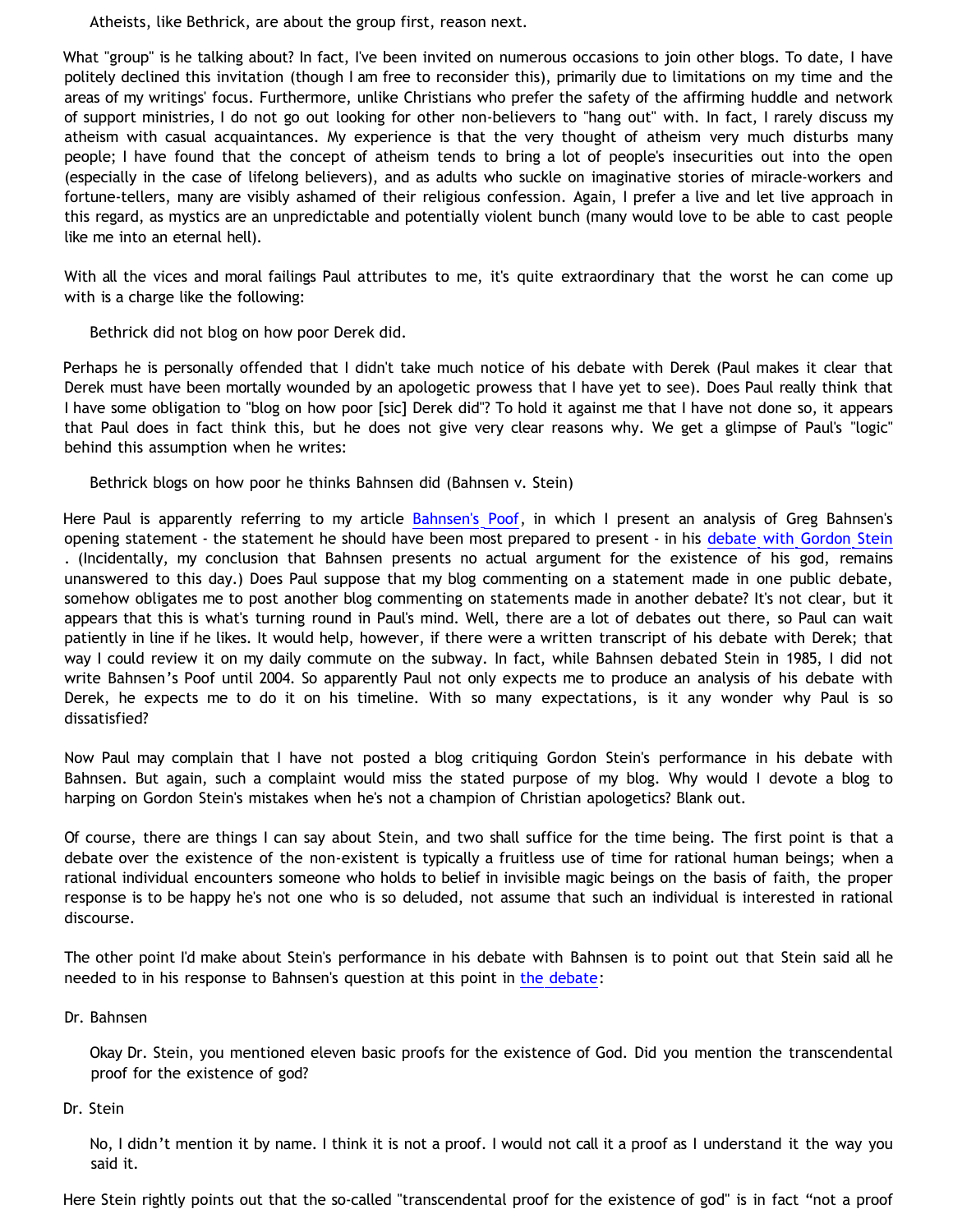Atheists, like Bethrick, are about the group first, reason next.

What "group" is he talking about? In fact, I've been invited on numerous occasions to join other blogs. To date, I have politely declined this invitation (though I am free to reconsider this), primarily due to limitations on my time and the areas of my writings' focus. Furthermore, unlike Christians who prefer the safety of the affirming huddle and network of support ministries, I do not go out looking for other non-believers to "hang out" with. In fact, I rarely discuss my atheism with casual acquaintances. My experience is that the very thought of atheism very much disturbs many people; I have found that the concept of atheism tends to bring a lot of people's insecurities out into the open (especially in the case of lifelong believers), and as adults who suckle on imaginative stories of miracle-workers and fortune-tellers, many are visibly ashamed of their religious confession. Again, I prefer a live and let live approach in this regard, as mystics are an unpredictable and potentially violent bunch (many would love to be able to cast people like me into an eternal hell).

With all the vices and moral failings Paul attributes to me, it's quite extraordinary that the worst he can come up with is a charge like the following:

Bethrick did not blog on how poor Derek did.

Perhaps he is personally offended that I didn't take much notice of his debate with Derek (Paul makes it clear that Derek must have been mortally wounded by an apologetic prowess that I have yet to see). Does Paul really think that I have some obligation to "blog on how poor [sic] Derek did"? To hold it against me that I have not done so, it appears that Paul does in fact think this, but he does not give very clear reasons why. We get a glimpse of Paul's "logic" behind this assumption when he writes:

Bethrick blogs on how poor he thinks Bahnsen did (Bahnsen v. Stein)

Here Paul is apparently referring to my article [Bahnsen's Poof](http://bahnsenburner.blogspot.com/2005/03/bahnsens-poof.html), in which I present an analysis of Greg Bahnsen's opening statement - the statement he should have been most prepared to present - in his [debate with Gordon Stein](http://www.popchapel.com/Resources/Bahnsen/GreatDebate/) . (Incidentally, my conclusion that Bahnsen presents no actual argument for the existence of his god, remains unanswered to this day.) Does Paul suppose that my blog commenting on a statement made in one public debate, somehow obligates me to post another blog commenting on statements made in another debate? It's not clear, but it appears that this is what's turning round in Paul's mind. Well, there are a lot of debates out there, so Paul can wait patiently in line if he likes. It would help, however, if there were a written transcript of his debate with Derek; that way I could review it on my daily commute on the subway. In fact, while Bahnsen debated Stein in 1985, I did not write Bahnsen's Poof until 2004. So apparently Paul not only expects me to produce an analysis of his debate with Derek, he expects me to do it on his timeline. With so many expectations, is it any wonder why Paul is so dissatisfied?

Now Paul may complain that I have not posted a blog critiquing Gordon Stein's performance in his debate with Bahnsen. But again, such a complaint would miss the stated purpose of my blog. Why would I devote a blog to harping on Gordon Stein's mistakes when he's not a champion of Christian apologetics? Blank out.

Of course, there are things I can say about Stein, and two shall suffice for the time being. The first point is that a debate over the existence of the non-existent is typically a fruitless use of time for rational human beings; when a rational individual encounters someone who holds to belief in invisible magic beings on the basis of faith, the proper response is to be happy he's not one who is so deluded, not assume that such an individual is interested in rational discourse.

The other point I'd make about Stein's performance in his debate with Bahnsen is to point out that Stein said all he needed to in his response to Bahnsen's question at this point in [the debate:](http://www.popchapel.com/Resources/Bahnsen/GreatDebate/)

Dr. Bahnsen

Okay Dr. Stein, you mentioned eleven basic proofs for the existence of God. Did you mention the transcendental proof for the existence of god?

Dr. Stein

No, I didn't mention it by name. I think it is not a proof. I would not call it a proof as I understand it the way you said it.

Here Stein rightly points out that the so-called "transcendental proof for the existence of god" is in fact "not a proof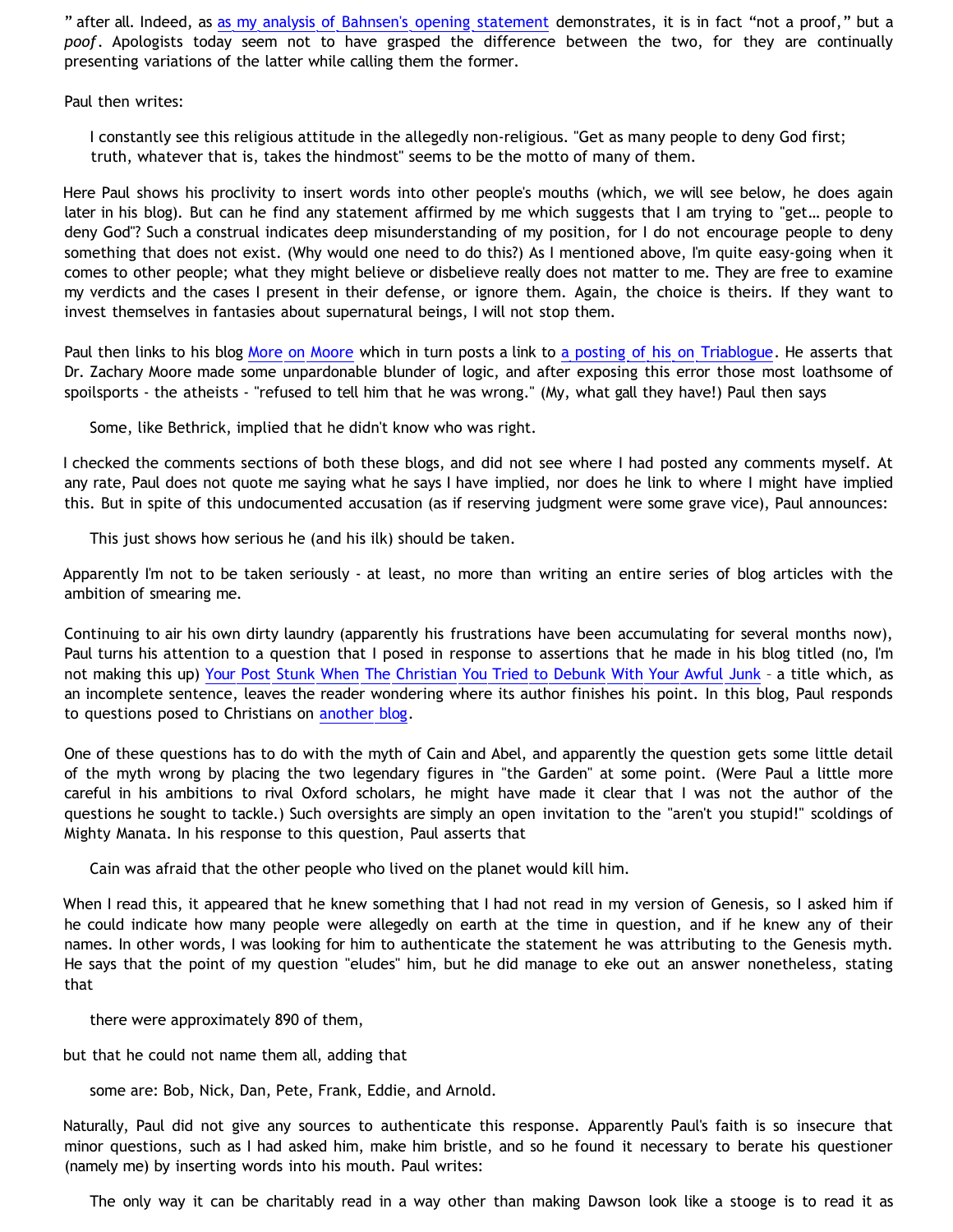" after all. Indeed, as [as my analysis of Bahnsen's opening statement](http://bahnsenburner.blogspot.com/2005/03/bahnsens-poof.html) demonstrates, it is in fact "not a proof," but a *poof*. Apologists today seem not to have grasped the difference between the two, for they are continually presenting variations of the latter while calling them the former.

Paul then writes:

I constantly see this religious attitude in the allegedly non-religious. "Get as many people to deny God first; truth, whatever that is, takes the hindmost" seems to be the motto of many of them.

Here Paul shows his proclivity to insert words into other people's mouths (which, we will see below, he does again later in his blog). But can he find any statement affirmed by me which suggests that I am trying to "get… people to deny God"? Such a construal indicates deep misunderstanding of my position, for I do not encourage people to deny something that does not exist. (Why would one need to do this?) As I mentioned above, I'm quite easy-going when it comes to other people; what they might believe or disbelieve really does not matter to me. They are free to examine my verdicts and the cases I present in their defense, or ignore them. Again, the choice is theirs. If they want to invest themselves in fantasies about supernatural beings, I will not stop them.

Paul then links to his blog [More on Moore](http://presstheantithesis.blogspot.com/2006/02/more-on-moore.html) which in turn posts a link to [a posting of his on Triablogue.](http://triablogue.blogspot.com/2006/02/no-one-responded-to-my-horrible_19.html) He asserts that Dr. Zachary Moore made some unpardonable blunder of logic, and after exposing this error those most loathsome of spoilsports - the atheists - "refused to tell him that he was wrong." (My, what gall they have!) Paul then says

Some, like Bethrick, implied that he didn't know who was right.

I checked the comments sections of both these blogs, and did not see where I had posted any comments myself. At any rate, Paul does not quote me saying what he says I have implied, nor does he link to where I might have implied this. But in spite of this undocumented accusation (as if reserving judgment were some grave vice), Paul announces:

This just shows how serious he (and his ilk) should be taken.

Apparently I'm not to be taken seriously - at least, no more than writing an entire series of blog articles with the ambition of smearing me.

Continuing to air his own dirty laundry (apparently his frustrations have been accumulating for several months now), Paul turns his attention to a question that I posed in response to assertions that he made in his blog titled (no, I'm not making this up) [Your Post Stunk When The Christian You Tried to Debunk With Your Awful Junk](http://presstheantithesis.blogspot.com/2006/03/your-post-stunk-when-christian-you.html) – a title which, as an incomplete sentence, leaves the reader wondering where its author finishes his point. In this blog, Paul responds to questions posed to Christians on [another blog](http://presstheantithesis.blogspot.com/2006/03/your-post-stunk-when-christian-you.html).

One of these questions has to do with the myth of Cain and Abel, and apparently the question gets some little detail of the myth wrong by placing the two legendary figures in "the Garden" at some point. (Were Paul a little more careful in his ambitions to rival Oxford scholars, he might have made it clear that I was not the author of the questions he sought to tackle.) Such oversights are simply an open invitation to the "aren't you stupid!" scoldings of Mighty Manata. In his response to this question, Paul asserts that

Cain was afraid that the other people who lived on the planet would kill him.

When I read this, it appeared that he knew something that I had not read in my version of Genesis, so I asked him if he could indicate how many people were allegedly on earth at the time in question, and if he knew any of their names. In other words, I was looking for him to authenticate the statement he was attributing to the Genesis myth. He says that the point of my question "eludes" him, but he did manage to eke out an answer nonetheless, stating that

there were approximately 890 of them,

but that he could not name them all, adding that

some are: Bob, Nick, Dan, Pete, Frank, Eddie, and Arnold.

Naturally, Paul did not give any sources to authenticate this response. Apparently Paul's faith is so insecure that minor questions, such as I had asked him, make him bristle, and so he found it necessary to berate his questioner (namely me) by inserting words into his mouth. Paul writes:

The only way it can be charitably read in a way other than making Dawson look like a stooge is to read it as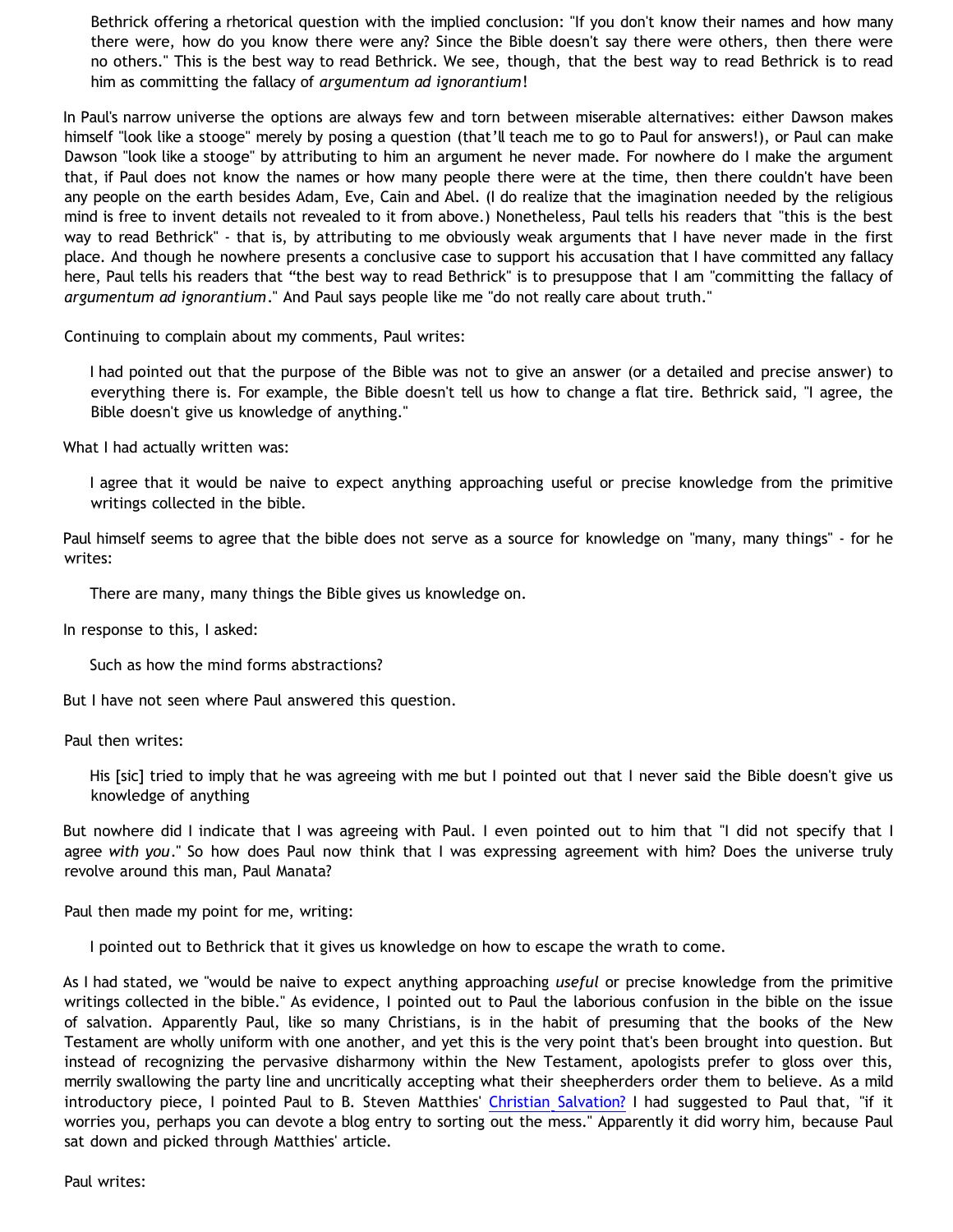Bethrick offering a rhetorical question with the implied conclusion: "If you don't know their names and how many there were, how do you know there were any? Since the Bible doesn't say there were others, then there were no others." This is the best way to read Bethrick. We see, though, that the best way to read Bethrick is to read him as committing the fallacy of *argumentum ad ignorantium*!

In Paul's narrow universe the options are always few and torn between miserable alternatives: either Dawson makes himself "look like a stooge" merely by posing a question (that'll teach me to go to Paul for answers!), or Paul can make Dawson "look like a stooge" by attributing to him an argument he never made. For nowhere do I make the argument that, if Paul does not know the names or how many people there were at the time, then there couldn't have been any people on the earth besides Adam, Eve, Cain and Abel. (I do realize that the imagination needed by the religious mind is free to invent details not revealed to it from above.) Nonetheless, Paul tells his readers that "this is the best way to read Bethrick" - that is, by attributing to me obviously weak arguments that I have never made in the first place. And though he nowhere presents a conclusive case to support his accusation that I have committed any fallacy here, Paul tells his readers that "the best way to read Bethrick" is to presuppose that I am "committing the fallacy of *argumentum ad ignorantium*." And Paul says people like me "do not really care about truth."

Continuing to complain about my comments, Paul writes:

I had pointed out that the purpose of the Bible was not to give an answer (or a detailed and precise answer) to everything there is. For example, the Bible doesn't tell us how to change a flat tire. Bethrick said, "I agree, the Bible doesn't give us knowledge of anything."

What I had actually written was:

I agree that it would be naive to expect anything approaching useful or precise knowledge from the primitive writings collected in the bible.

Paul himself seems to agree that the bible does not serve as a source for knowledge on "many, many things" - for he writes:

There are many, many things the Bible gives us knowledge on.

In response to this, I asked:

Such as how the mind forms abstractions?

But I have not seen where Paul answered this question.

Paul then writes:

His [sic] tried to imply that he was agreeing with me but I pointed out that I never said the Bible doesn't give us knowledge of anything

But nowhere did I indicate that I was agreeing with Paul. I even pointed out to him that "I did not specify that I agree *with you*." So how does Paul now think that I was expressing agreement with him? Does the universe truly revolve around this man, Paul Manata?

Paul then made my point for me, writing:

I pointed out to Bethrick that it gives us knowledge on how to escape the wrath to come.

As I had stated, we "would be naive to expect anything approaching *useful* or precise knowledge from the primitive writings collected in the bible." As evidence, I pointed out to Paul the laborious confusion in the bible on the issue of salvation. Apparently Paul, like so many Christians, is in the habit of presuming that the books of the New Testament are wholly uniform with one another, and yet this is the very point that's been brought into question. But instead of recognizing the pervasive disharmony within the New Testament, apologists prefer to gloss over this, merrily swallowing the party line and uncritically accepting what their sheepherders order them to believe. As a mild introductory piece, I pointed Paul to B. Steven Matthies' [Christian Salvation?](http://www.secweb.org/index.aspx?action=viewAsset&id=192) I had suggested to Paul that, "if it worries you, perhaps you can devote a blog entry to sorting out the mess." Apparently it did worry him, because Paul sat down and picked through Matthies' article.

Paul writes: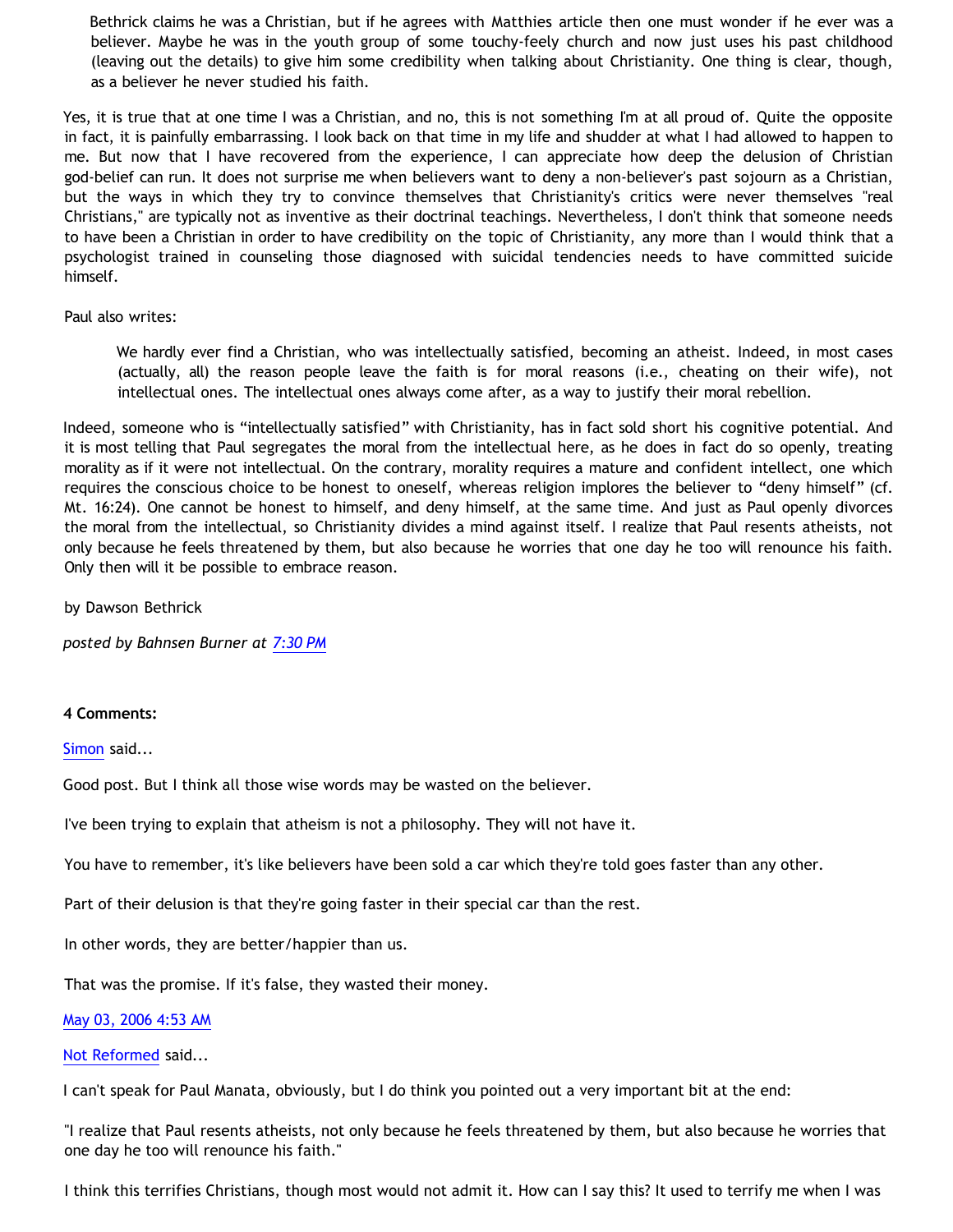Bethrick claims he was a Christian, but if he agrees with Matthies article then one must wonder if he ever was a believer. Maybe he was in the youth group of some touchy-feely church and now just uses his past childhood (leaving out the details) to give him some credibility when talking about Christianity. One thing is clear, though, as a believer he never studied his faith.

Yes, it is true that at one time I was a Christian, and no, this is not something I'm at all proud of. Quite the opposite in fact, it is painfully embarrassing. I look back on that time in my life and shudder at what I had allowed to happen to me. But now that I have recovered from the experience, I can appreciate how deep the delusion of Christian god-belief can run. It does not surprise me when believers want to deny a non-believer's past sojourn as a Christian, but the ways in which they try to convince themselves that Christianity's critics were never themselves "real Christians," are typically not as inventive as their doctrinal teachings. Nevertheless, I don't think that someone needs to have been a Christian in order to have credibility on the topic of Christianity, any more than I would think that a psychologist trained in counseling those diagnosed with suicidal tendencies needs to have committed suicide himself.

Paul also writes:

We hardly ever find a Christian, who was intellectually satisfied, becoming an atheist. Indeed, in most cases (actually, all) the reason people leave the faith is for moral reasons (i.e., cheating on their wife), not intellectual ones. The intellectual ones always come after, as a way to justify their moral rebellion.

Indeed, someone who is "intellectually satisfied" with Christianity, has in fact sold short his cognitive potential. And it is most telling that Paul segregates the moral from the intellectual here, as he does in fact do so openly, treating morality as if it were not intellectual. On the contrary, morality requires a mature and confident intellect, one which requires the conscious choice to be honest to oneself, whereas religion implores the believer to "deny himself" (cf. Mt. 16:24). One cannot be honest to himself, and deny himself, at the same time. And just as Paul openly divorces the moral from the intellectual, so Christianity divides a mind against itself. I realize that Paul resents atheists, not only because he feels threatened by them, but also because he worries that one day he too will renounce his faith. Only then will it be possible to embrace reason.

by Dawson Bethrick

*posted by Bahnsen Burner at [7:30 PM](http://bahnsenburner.blogspot.com/2006/05/christian-insecurity-case-study.html)*

## **4 Comments:**

[Simon](http://www.blogger.com/profile/1792226) said...

Good post. But I think all those wise words may be wasted on the believer.

I've been trying to explain that atheism is not a philosophy. They will not have it.

You have to remember, it's like believers have been sold a car which they're told goes faster than any other.

Part of their delusion is that they're going faster in their special car than the rest.

In other words, they are better/happier than us.

That was the promise. If it's false, they wasted their money.

[May 03, 2006 4:53 AM](http://bahnsenburner.blogspot.com/2006/05/114665721072985708)

[Not Reformed](http://www.blogger.com/profile/8159639) said...

I can't speak for Paul Manata, obviously, but I do think you pointed out a very important bit at the end:

"I realize that Paul resents atheists, not only because he feels threatened by them, but also because he worries that one day he too will renounce his faith."

I think this terrifies Christians, though most would not admit it. How can I say this? It used to terrify me when I was